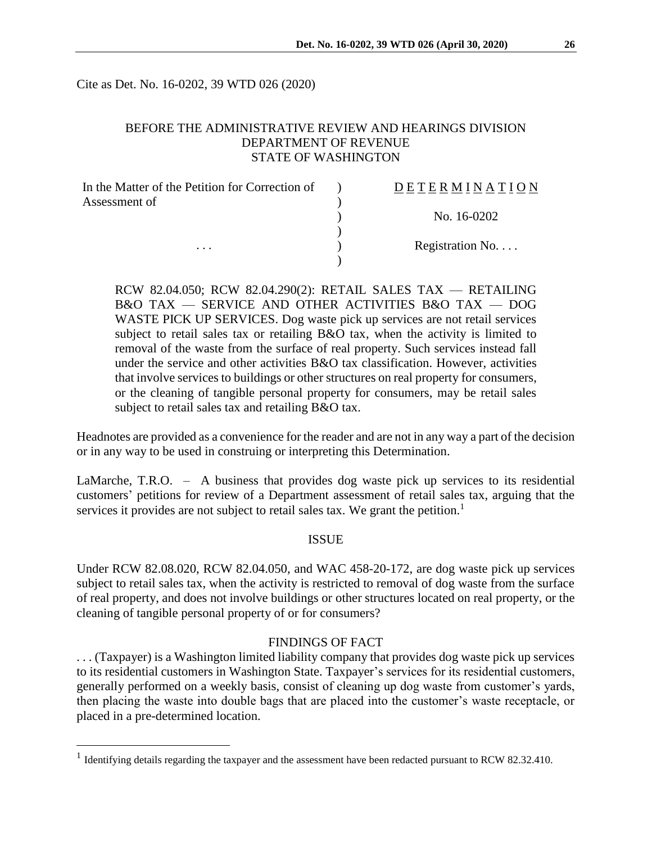Cite as Det. No. 16-0202, 39 WTD 026 (2020)

# BEFORE THE ADMINISTRATIVE REVIEW AND HEARINGS DIVISION DEPARTMENT OF REVENUE STATE OF WASHINGTON

| In the Matter of the Petition for Correction of | DETERMINATION    |
|-------------------------------------------------|------------------|
| Assessment of<br>$\cdots$                       |                  |
|                                                 | No. 16-0202      |
|                                                 |                  |
|                                                 | Registration No. |
|                                                 |                  |

RCW 82.04.050; RCW 82.04.290(2): RETAIL SALES TAX — RETAILING B&O TAX — SERVICE AND OTHER ACTIVITIES B&O TAX — DOG WASTE PICK UP SERVICES. Dog waste pick up services are not retail services subject to retail sales tax or retailing B&O tax, when the activity is limited to removal of the waste from the surface of real property. Such services instead fall under the service and other activities  $B&O$  tax classification. However, activities that involve services to buildings or other structures on real property for consumers, or the cleaning of tangible personal property for consumers, may be retail sales subject to retail sales tax and retailing B&O tax.

Headnotes are provided as a convenience for the reader and are not in any way a part of the decision or in any way to be used in construing or interpreting this Determination.

LaMarche, T.R.O. – A business that provides dog waste pick up services to its residential customers' petitions for review of a Department assessment of retail sales tax, arguing that the services it provides are not subject to retail sales tax. We grant the petition.<sup>1</sup>

#### ISSUE

Under RCW 82.08.020, RCW 82.04.050, and WAC 458-20-172, are dog waste pick up services subject to retail sales tax, when the activity is restricted to removal of dog waste from the surface of real property, and does not involve buildings or other structures located on real property, or the cleaning of tangible personal property of or for consumers?

#### FINDINGS OF FACT

. . . (Taxpayer) is a Washington limited liability company that provides dog waste pick up services to its residential customers in Washington State. Taxpayer's services for its residential customers, generally performed on a weekly basis, consist of cleaning up dog waste from customer's yards, then placing the waste into double bags that are placed into the customer's waste receptacle, or placed in a pre-determined location.

 $\overline{a}$ 

<sup>&</sup>lt;sup>1</sup> Identifying details regarding the taxpayer and the assessment have been redacted pursuant to RCW 82.32.410.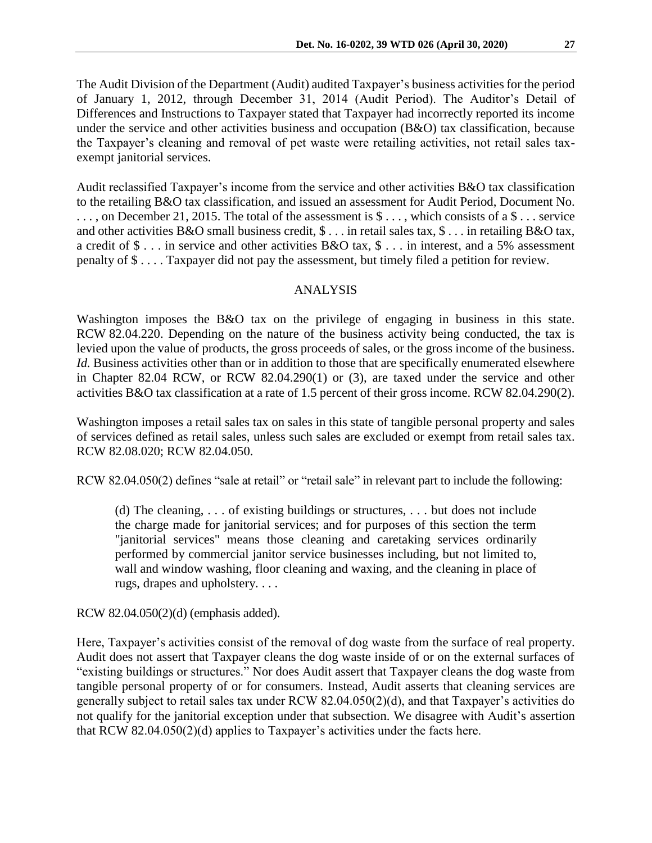The Audit Division of the Department (Audit) audited Taxpayer's business activities for the period of January 1, 2012, through December 31, 2014 (Audit Period). The Auditor's Detail of Differences and Instructions to Taxpayer stated that Taxpayer had incorrectly reported its income under the service and other activities business and occupation (B&O) tax classification, because the Taxpayer's cleaning and removal of pet waste were retailing activities, not retail sales taxexempt janitorial services.

Audit reclassified Taxpayer's income from the service and other activities B&O tax classification to the retailing B&O tax classification, and issued an assessment for Audit Period, Document No. ..., on December 21, 2015. The total of the assessment is  $\hat{\mathcal{S}}$ ..., which consists of a  $\hat{\mathcal{S}}$ ... service and other activities B&O small business credit, \$ . . . in retail sales tax, \$ . . . in retailing B&O tax, a credit of \$ . . . in service and other activities B&O tax, \$ . . . in interest, and a 5% assessment penalty of \$ . . . . Taxpayer did not pay the assessment, but timely filed a petition for review.

### ANALYSIS

Washington imposes the B&O tax on the privilege of engaging in business in this state. RCW 82.04.220. Depending on the nature of the business activity being conducted, the tax is levied upon the value of products, the gross proceeds of sales, or the gross income of the business. *Id.* Business activities other than or in addition to those that are specifically enumerated elsewhere in Chapter 82.04 RCW, or RCW 82.04.290(1) or (3), are taxed under the service and other activities B&O tax classification at a rate of 1.5 percent of their gross income. RCW 82.04.290(2).

Washington imposes a retail sales tax on sales in this state of tangible personal property and sales of services defined as retail sales, unless such sales are excluded or exempt from retail sales tax. RCW 82.08.020; RCW 82.04.050.

RCW 82.04.050(2) defines "sale at retail" or "retail sale" in relevant part to include the following:

(d) The cleaning, . . . of existing buildings or structures, . . . but does not include the charge made for janitorial services; and for purposes of this section the term "janitorial services" means those cleaning and caretaking services ordinarily performed by commercial janitor service businesses including, but not limited to, wall and window washing, floor cleaning and waxing, and the cleaning in place of rugs, drapes and upholstery. . . .

RCW 82.04.050(2)(d) (emphasis added).

Here, Taxpayer's activities consist of the removal of dog waste from the surface of real property. Audit does not assert that Taxpayer cleans the dog waste inside of or on the external surfaces of "existing buildings or structures." Nor does Audit assert that Taxpayer cleans the dog waste from tangible personal property of or for consumers. Instead, Audit asserts that cleaning services are generally subject to retail sales tax under RCW 82.04.050(2)(d), and that Taxpayer's activities do not qualify for the janitorial exception under that subsection. We disagree with Audit's assertion that RCW 82.04.050(2)(d) applies to Taxpayer's activities under the facts here.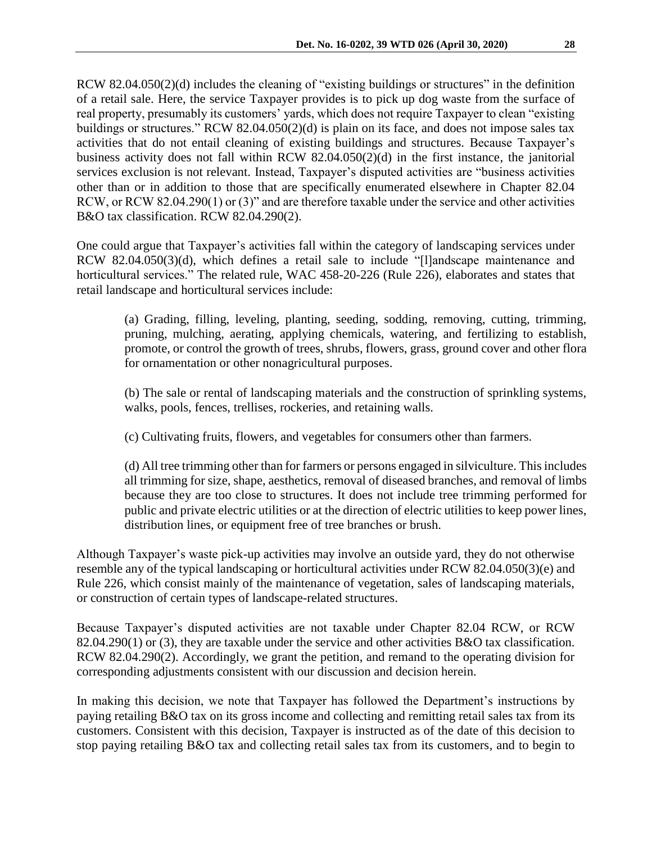RCW 82.04.050(2)(d) includes the cleaning of "existing buildings or structures" in the definition of a retail sale. Here, the service Taxpayer provides is to pick up dog waste from the surface of real property, presumably its customers' yards, which does not require Taxpayer to clean "existing buildings or structures." RCW 82.04.050(2)(d) is plain on its face, and does not impose sales tax activities that do not entail cleaning of existing buildings and structures. Because Taxpayer's business activity does not fall within RCW 82.04.050(2)(d) in the first instance, the janitorial services exclusion is not relevant. Instead, Taxpayer's disputed activities are "business activities other than or in addition to those that are specifically enumerated elsewhere in Chapter 82.04 RCW, or RCW 82.04.290(1) or (3)" and are therefore taxable under the service and other activities B&O tax classification. RCW 82.04.290(2).

One could argue that Taxpayer's activities fall within the category of landscaping services under RCW 82.04.050(3)(d), which defines a retail sale to include "[l]andscape maintenance and horticultural services." The related rule, WAC 458-20-226 (Rule 226), elaborates and states that retail landscape and horticultural services include:

(a) Grading, filling, leveling, planting, seeding, sodding, removing, cutting, trimming, pruning, mulching, aerating, applying chemicals, watering, and fertilizing to establish, promote, or control the growth of trees, shrubs, flowers, grass, ground cover and other flora for ornamentation or other nonagricultural purposes.

(b) The sale or rental of landscaping materials and the construction of sprinkling systems, walks, pools, fences, trellises, rockeries, and retaining walls.

(c) Cultivating fruits, flowers, and vegetables for consumers other than farmers.

(d) All tree trimming other than for farmers or persons engaged in silviculture. This includes all trimming for size, shape, aesthetics, removal of diseased branches, and removal of limbs because they are too close to structures. It does not include tree trimming performed for public and private electric utilities or at the direction of electric utilities to keep power lines, distribution lines, or equipment free of tree branches or brush.

Although Taxpayer's waste pick-up activities may involve an outside yard, they do not otherwise resemble any of the typical landscaping or horticultural activities under RCW 82.04.050(3)(e) and Rule 226, which consist mainly of the maintenance of vegetation, sales of landscaping materials, or construction of certain types of landscape-related structures.

Because Taxpayer's disputed activities are not taxable under Chapter 82.04 RCW, or RCW 82.04.290(1) or (3), they are taxable under the service and other activities B&O tax classification. RCW 82.04.290(2). Accordingly, we grant the petition, and remand to the operating division for corresponding adjustments consistent with our discussion and decision herein.

In making this decision, we note that Taxpayer has followed the Department's instructions by paying retailing B&O tax on its gross income and collecting and remitting retail sales tax from its customers. Consistent with this decision, Taxpayer is instructed as of the date of this decision to stop paying retailing B&O tax and collecting retail sales tax from its customers, and to begin to